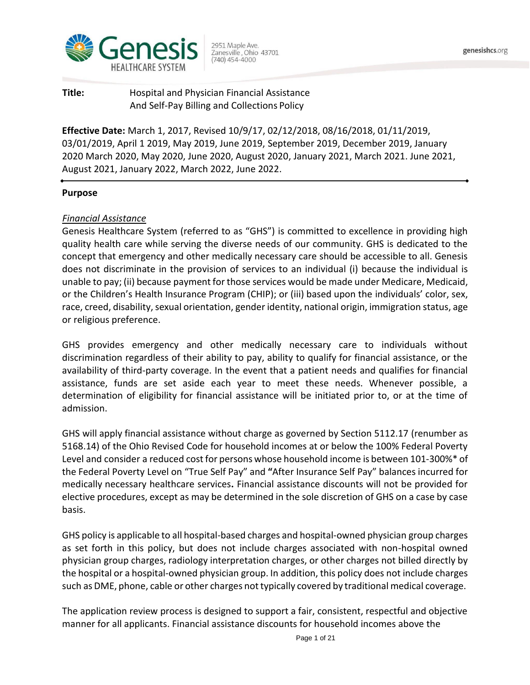

**Title:** Hospital and Physician Financial Assistance And Self-Pay Billing and Collections Policy

**Effective Date:** March 1, 2017, Revised 10/9/17, 02/12/2018, 08/16/2018, 01/11/2019, 03/01/2019, April 1 2019, May 2019, June 2019, September 2019, December 2019, January 2020 March 2020, May 2020, June 2020, August 2020, January 2021, March 2021. June 2021, August 2021, January 2022, March 2022, June 2022.

# **Purpose**

# *Financial Assistance*

Genesis Healthcare System (referred to as "GHS") is committed to excellence in providing high quality health care while serving the diverse needs of our community. GHS is dedicated to the concept that emergency and other medically necessary care should be accessible to all. Genesis does not discriminate in the provision of services to an individual (i) because the individual is unable to pay; (ii) because payment for those services would be made under Medicare, Medicaid, or the Children's Health Insurance Program (CHIP); or (iii) based upon the individuals' color, sex, race, creed, disability, sexual orientation, gender identity, national origin, immigration status, age or religious preference.

GHS provides emergency and other medically necessary care to individuals without discrimination regardless of their ability to pay, ability to qualify for financial assistance, or the availability of third-party coverage. In the event that a patient needs and qualifies for financial assistance, funds are set aside each year to meet these needs. Whenever possible, a determination of eligibility for financial assistance will be initiated prior to, or at the time of admission.

GHS will apply financial assistance without charge as governed by Section 5112.17 (renumber as 5168.14) of the Ohio Revised Code for household incomes at or below the 100% Federal Poverty Level and consider a reduced cost for persons whose household income is between 101-300%\* of the Federal Poverty Level on "True Self Pay" and **"**After Insurance Self Pay" balances incurred for medically necessary healthcare services**.** Financial assistance discounts will not be provided for elective procedures, except as may be determined in the sole discretion of GHS on a case by case basis.

GHS policy is applicable to all hospital-based charges and hospital-owned physician group charges as set forth in this policy, but does not include charges associated with non-hospital owned physician group charges, radiology interpretation charges, or other charges not billed directly by the hospital or a hospital-owned physician group. In addition, this policy does not include charges such as DME, phone, cable or other charges not typically covered by traditional medical coverage.

The application review process is designed to support a fair, consistent, respectful and objective manner for all applicants. Financial assistance discounts for household incomes above the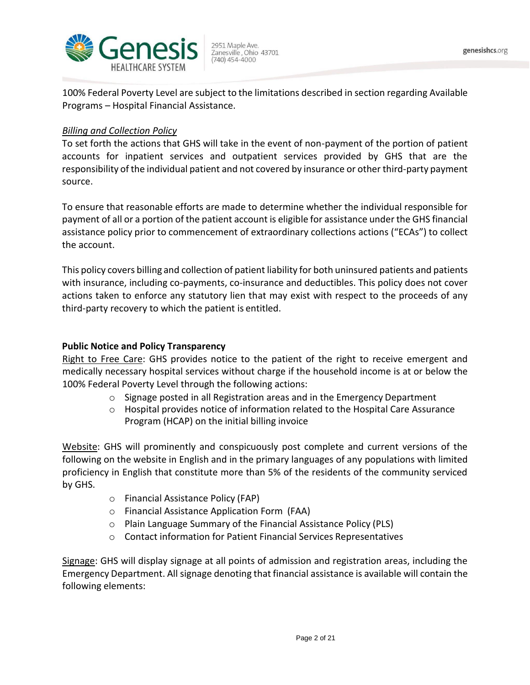

100% Federal Poverty Level are subject to the limitations described in section regarding Available Programs – Hospital Financial Assistance.

# *Billing and Collection Policy*

To set forth the actions that GHS will take in the event of non-payment of the portion of patient accounts for inpatient services and outpatient services provided by GHS that are the responsibility of the individual patient and not covered by insurance or other third-party payment source.

To ensure that reasonable efforts are made to determine whether the individual responsible for payment of all or a portion of the patient account is eligible for assistance under the GHS financial assistance policy prior to commencement of extraordinary collections actions ("ECAs") to collect the account.

This policy covers billing and collection of patient liability for both uninsured patients and patients with insurance, including co-payments, co-insurance and deductibles. This policy does not cover actions taken to enforce any statutory lien that may exist with respect to the proceeds of any third-party recovery to which the patient is entitled.

# **Public Notice and Policy Transparency**

Right to Free Care: GHS provides notice to the patient of the right to receive emergent and medically necessary hospital services without charge if the household income is at or below the 100% Federal Poverty Level through the following actions:

- $\circ$  Signage posted in all Registration areas and in the Emergency Department
- o Hospital provides notice of information related to the Hospital Care Assurance Program (HCAP) on the initial billing invoice

Website: GHS will prominently and conspicuously post complete and current versions of the following on the website in English and in the primary languages of any populations with limited proficiency in English that constitute more than 5% of the residents of the community serviced by GHS.

- o Financial Assistance Policy (FAP)
- o Financial Assistance Application Form (FAA)
- o Plain Language Summary of the Financial Assistance Policy (PLS)
- o Contact information for Patient Financial Services Representatives

Signage: GHS will display signage at all points of admission and registration areas, including the Emergency Department. All signage denoting that financial assistance is available will contain the following elements: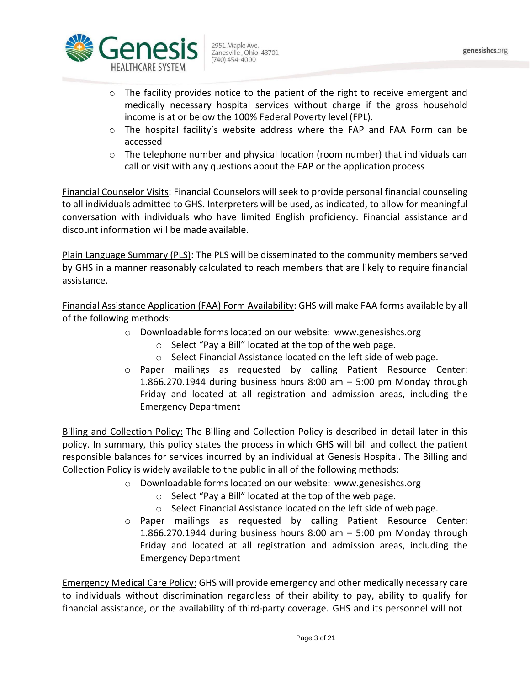

- $\circ$  The hospital facility's website address where the FAP and FAA Form can be accessed
- $\circ$  The telephone number and physical location (room number) that individuals can call or visit with any questions about the FAP or the application process

Financial Counselor Visits: Financial Counselors will seek to provide personal financial counseling to all individuals admitted to GHS. Interpreters will be used, as indicated, to allow for meaningful conversation with individuals who have limited English proficiency. Financial assistance and discount information will be made available.

Plain Language Summary (PLS): The PLS will be disseminated to the community members served by GHS in a manner reasonably calculated to reach members that are likely to require financial assistance.

Financial Assistance Application (FAA) Form Availability: GHS will make FAA forms available by all of the following methods:

- o Downloadable forms located on our website: [www.genesishcs.org](http://www.genesishcs.org/)
	- o Select "Pay a Bill" located at the top of the web page.
	- o Select Financial Assistance located on the left side of web page.
- o Paper mailings as requested by calling Patient Resource Center: 1.866.270.1944 during business hours 8:00 am  $-$  5:00 pm Monday through Friday and located at all registration and admission areas, including the Emergency Department

Billing and Collection Policy: The Billing and Collection Policy is described in detail later in this policy. In summary, this policy states the process in which GHS will bill and collect the patient responsible balances for services incurred by an individual at Genesis Hospital. The Billing and Collection Policy is widely available to the public in all of the following methods:

- o Downloadable forms located on our website: [www.genesishcs.org](http://www.genesishcs.org/)
	- o Select "Pay a Bill" located at the top of the web page.
	- o Select Financial Assistance located on the left side of web page.
- o Paper mailings as requested by calling Patient Resource Center: 1.866.270.1944 during business hours 8:00 am  $-$  5:00 pm Monday through Friday and located at all registration and admission areas, including the Emergency Department

**Emergency Medical Care Policy:** GHS will provide emergency and other medically necessary care to individuals without discrimination regardless of their ability to pay, ability to qualify for financial assistance, or the availability of third-party coverage. GHS and its personnel will not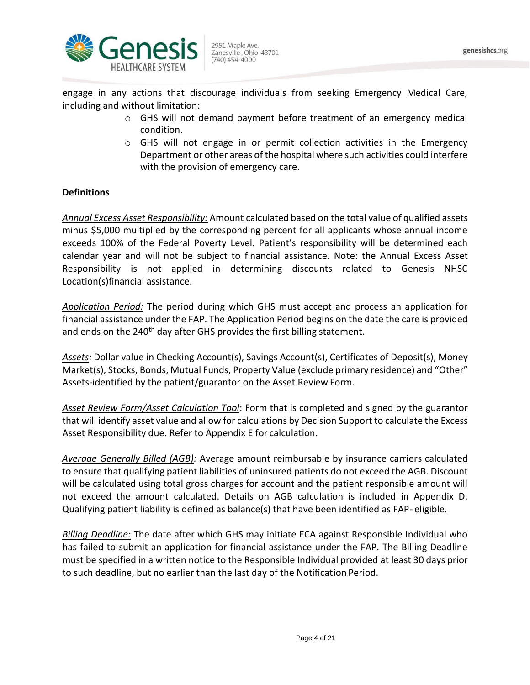

engage in any actions that discourage individuals from seeking Emergency Medical Care, including and without limitation:

- o GHS will not demand payment before treatment of an emergency medical condition.
- o GHS will not engage in or permit collection activities in the Emergency Department or other areas of the hospital where such activities could interfere with the provision of emergency care.

# **Definitions**

*Annual Excess Asset Responsibility:* Amount calculated based on the total value of qualified assets minus \$5,000 multiplied by the corresponding percent for all applicants whose annual income exceeds 100% of the Federal Poverty Level. Patient's responsibility will be determined each calendar year and will not be subject to financial assistance. Note: the Annual Excess Asset Responsibility is not applied in determining discounts related to Genesis NHSC Location(s)financial assistance.

*Application Period:* The period during which GHS must accept and process an application for financial assistance under the FAP. The Application Period begins on the date the care is provided and ends on the 240<sup>th</sup> day after GHS provides the first billing statement.

*Assets:* Dollar value in Checking Account(s), Savings Account(s), Certificates of Deposit(s), Money Market(s), Stocks, Bonds, Mutual Funds, Property Value (exclude primary residence) and "Other" Assets-identified by the patient/guarantor on the Asset Review Form.

*Asset Review Form/Asset Calculation Tool*: Form that is completed and signed by the guarantor that will identify asset value and allow for calculations by Decision Support to calculate the Excess Asset Responsibility due. Refer to Appendix E for calculation.

*Average Generally Billed (AGB):* Average amount reimbursable by insurance carriers calculated to ensure that qualifying patient liabilities of uninsured patients do not exceed the AGB. Discount will be calculated using total gross charges for account and the patient responsible amount will not exceed the amount calculated. Details on AGB calculation is included in Appendix D. Qualifying patient liability is defined as balance(s) that have been identified as FAP- eligible.

*Billing Deadline:* The date after which GHS may initiate ECA against Responsible Individual who has failed to submit an application for financial assistance under the FAP. The Billing Deadline must be specified in a written notice to the Responsible Individual provided at least 30 days prior to such deadline, but no earlier than the last day of the Notification Period.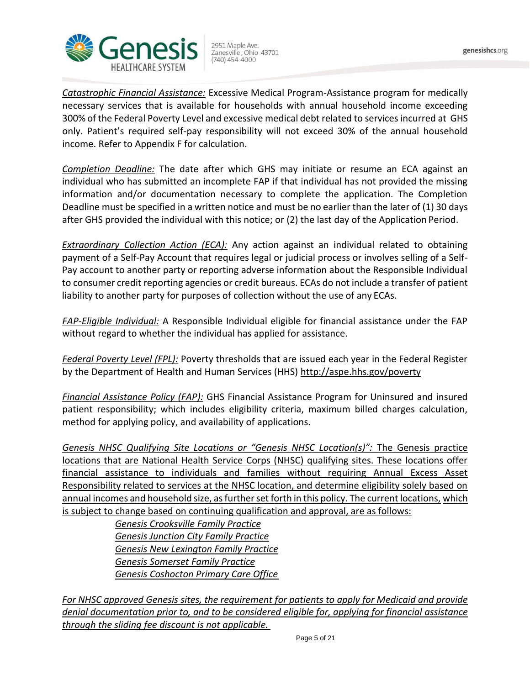

*Catastrophic Financial Assistance:* Excessive Medical Program-Assistance program for medically necessary services that is available for households with annual household income exceeding 300% of the Federal Poverty Level and excessive medical debt related to services incurred at GHS only. Patient's required self-pay responsibility will not exceed 30% of the annual household income. Refer to Appendix F for calculation.

*Completion Deadline:* The date after which GHS may initiate or resume an ECA against an individual who has submitted an incomplete FAP if that individual has not provided the missing information and/or documentation necessary to complete the application. The Completion Deadline must be specified in a written notice and must be no earlier than the later of (1) 30 days after GHS provided the individual with this notice; or (2) the last day of the Application Period.

*Extraordinary Collection Action (ECA):* Any action against an individual related to obtaining payment of a Self-Pay Account that requires legal or judicial process or involves selling of a Self-Pay account to another party or reporting adverse information about the Responsible Individual to consumer credit reporting agencies or credit bureaus. ECAs do not include a transfer of patient liability to another party for purposes of collection without the use of any ECAs.

*FAP-Eligible Individual:* A Responsible Individual eligible for financial assistance under the FAP without regard to whether the individual has applied for assistance.

*Federal Poverty Level (FPL):* Poverty thresholds that are issued each year in the Federal Register by the Department of Health and Human Services (HHS)<http://aspe.hhs.gov/poverty>

*Financial Assistance Policy (FAP):* GHS Financial Assistance Program for Uninsured and insured patient responsibility; which includes eligibility criteria, maximum billed charges calculation, method for applying policy, and availability of applications.

*Genesis NHSC Qualifying Site Locations or "Genesis NHSC Location(s)":* The Genesis practice locations that are National Health Service Corps (NHSC) qualifying sites. These locations offer financial assistance to individuals and families without requiring Annual Excess Asset Responsibility related to services at the NHSC location, and determine eligibility solely based on annual incomes and household size, as further set forth in this policy. The current locations, which is subject to change based on continuing qualification and approval, are as follows:

> *Genesis Crooksville Family Practice Genesis Junction City Family Practice Genesis New Lexington Family Practice Genesis Somerset Family Practice Genesis Coshocton Primary Care Office*

*For NHSC approved Genesis sites, the requirement for patients to apply for Medicaid and provide denial documentation prior to, and to be considered eligible for, applying for financial assistance through the sliding fee discount is not applicable.*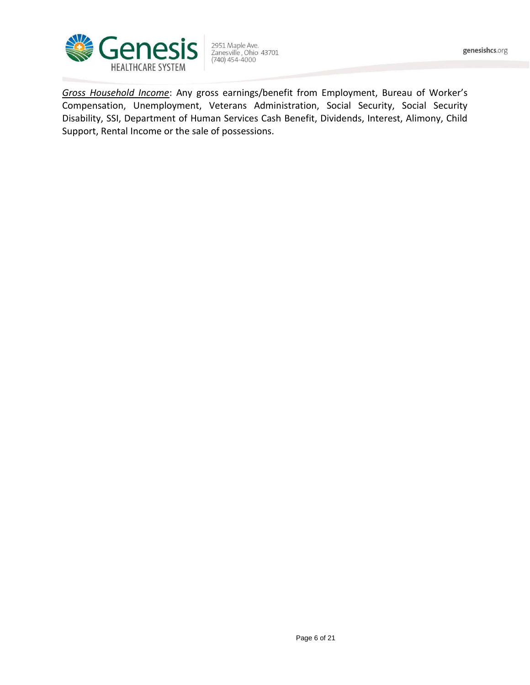

2951 Maple Ave.<br>Zanesville , Ohio 43701<br>(740) 454-4000

*Gross Household Income*: Any gross earnings/benefit from Employment, Bureau of Worker's Compensation, Unemployment, Veterans Administration, Social Security, Social Security Disability, SSI, Department of Human Services Cash Benefit, Dividends, Interest, Alimony, Child Support, Rental Income or the sale of possessions.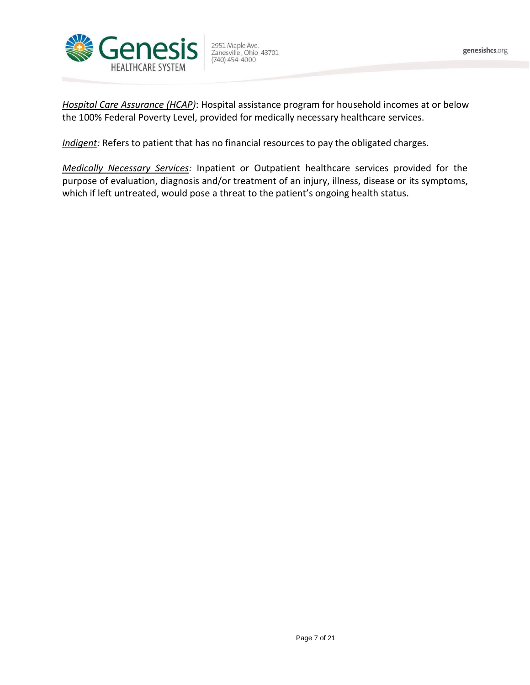

2951 Maple Ave.<br>Zanesville , Ohio 43701<br>(740) 454-4000

*Hospital Care Assurance (HCAP)*: Hospital assistance program for household incomes at or below the 100% Federal Poverty Level, provided for medically necessary healthcare services.

*Indigent:* Refers to patient that has no financial resources to pay the obligated charges.

*Medically Necessary Services:* Inpatient or Outpatient healthcare services provided for the purpose of evaluation, diagnosis and/or treatment of an injury, illness, disease or its symptoms, which if left untreated, would pose a threat to the patient's ongoing health status.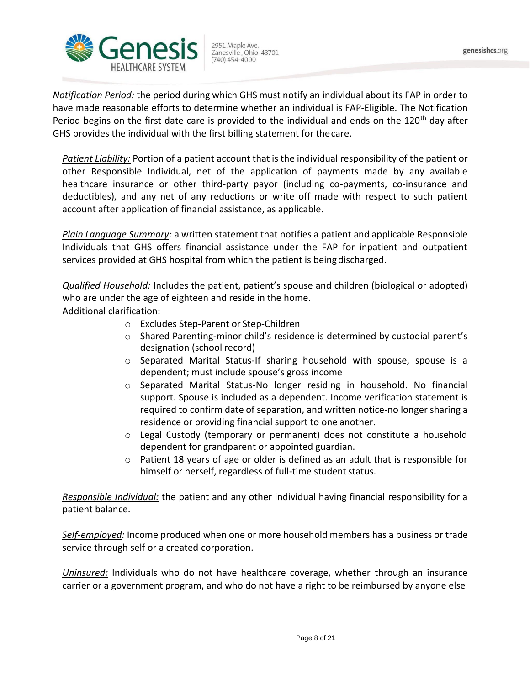

*Notification Period:* the period during which GHS must notify an individual about its FAP in order to have made reasonable efforts to determine whether an individual is FAP-Eligible. The Notification Period begins on the first date care is provided to the individual and ends on the 120<sup>th</sup> day after GHS provides the individual with the first billing statement for thecare.

*Patient Liability:* Portion of a patient account that is the individual responsibility of the patient or other Responsible Individual, net of the application of payments made by any available healthcare insurance or other third-party payor (including co-payments, co-insurance and deductibles), and any net of any reductions or write off made with respect to such patient account after application of financial assistance, as applicable.

*Plain Language Summary:* a written statement that notifies a patient and applicable Responsible Individuals that GHS offers financial assistance under the FAP for inpatient and outpatient services provided at GHS hospital from which the patient is being discharged.

*Qualified Household:* Includes the patient, patient's spouse and children (biological or adopted) who are under the age of eighteen and reside in the home.

Additional clarification:

- o Excludes Step-Parent or Step-Children
- o Shared Parenting-minor child's residence is determined by custodial parent's designation (school record)
- o Separated Marital Status-If sharing household with spouse, spouse is a dependent; must include spouse's gross income
- o Separated Marital Status-No longer residing in household. No financial support. Spouse is included as a dependent. Income verification statement is required to confirm date of separation, and written notice-no longer sharing a residence or providing financial support to one another.
- $\circ$  Legal Custody (temporary or permanent) does not constitute a household dependent for grandparent or appointed guardian.
- $\circ$  Patient 18 years of age or older is defined as an adult that is responsible for himself or herself, regardless of full-time student status.

*Responsible Individual:* the patient and any other individual having financial responsibility for a patient balance.

*Self-employed:* Income produced when one or more household members has a business or trade service through self or a created corporation.

*Uninsured:* Individuals who do not have healthcare coverage, whether through an insurance carrier or a government program, and who do not have a right to be reimbursed by anyone else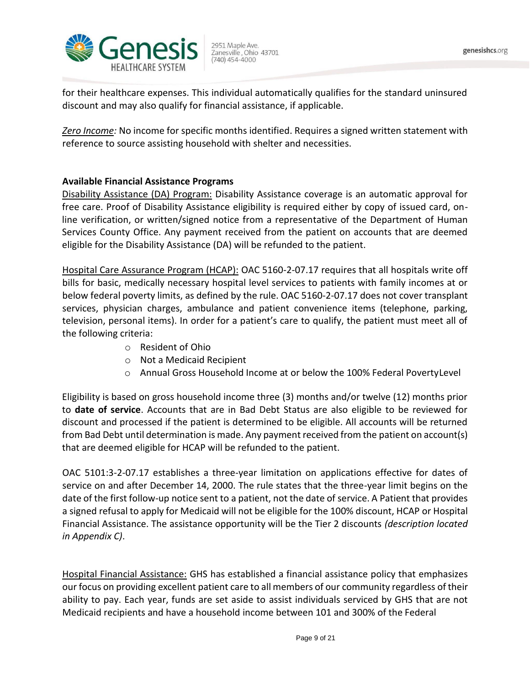

for their healthcare expenses. This individual automatically qualifies for the standard uninsured discount and may also qualify for financial assistance, if applicable.

*Zero Income:* No income for specific months identified. Requires a signed written statement with reference to source assisting household with shelter and necessities.

# **Available Financial Assistance Programs**

Disability Assistance (DA) Program: Disability Assistance coverage is an automatic approval for free care. Proof of Disability Assistance eligibility is required either by copy of issued card, online verification, or written/signed notice from a representative of the Department of Human Services County Office. Any payment received from the patient on accounts that are deemed eligible for the Disability Assistance (DA) will be refunded to the patient.

Hospital Care Assurance Program (HCAP): OAC 5160-2-07.17 requires that all hospitals write off bills for basic, medically necessary hospital level services to patients with family incomes at or below federal poverty limits, as defined by the rule. OAC 5160-2-07.17 does not cover transplant services, physician charges, ambulance and patient convenience items (telephone, parking, television, personal items). In order for a patient's care to qualify, the patient must meet all of the following criteria:

- o Resident of Ohio
- o Not a Medicaid Recipient
- o Annual Gross Household Income at or below the 100% Federal PovertyLevel

Eligibility is based on gross household income three (3) months and/or twelve (12) months prior to **date of service**. Accounts that are in Bad Debt Status are also eligible to be reviewed for discount and processed if the patient is determined to be eligible. All accounts will be returned from Bad Debt until determination is made. Any payment received from the patient on account(s) that are deemed eligible for HCAP will be refunded to the patient.

OAC 5101:3-2-07.17 establishes a three-year limitation on applications effective for dates of service on and after December 14, 2000. The rule states that the three-year limit begins on the date of the first follow-up notice sent to a patient, not the date of service. A Patient that provides a signed refusal to apply for Medicaid will not be eligible for the 100% discount, HCAP or Hospital Financial Assistance. The assistance opportunity will be the Tier 2 discounts *(description located in Appendix C)*.

Hospital Financial Assistance: GHS has established a financial assistance policy that emphasizes our focus on providing excellent patient care to all members of our community regardless of their ability to pay. Each year, funds are set aside to assist individuals serviced by GHS that are not Medicaid recipients and have a household income between 101 and 300% of the Federal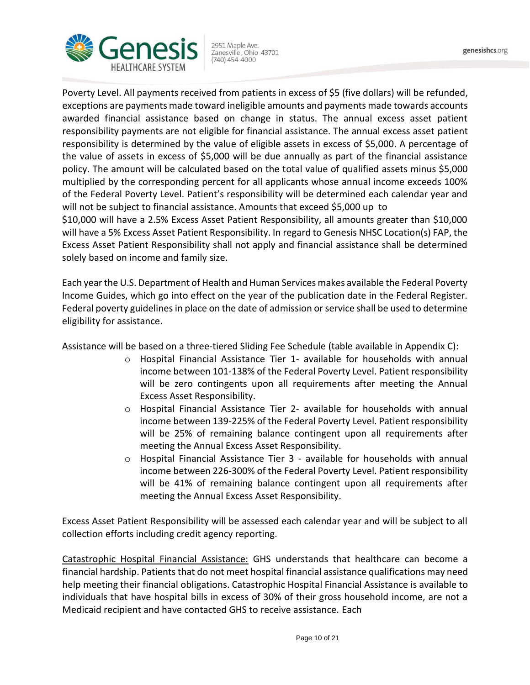

Poverty Level. All payments received from patients in excess of \$5 (five dollars) will be refunded, exceptions are payments made toward ineligible amounts and payments made towards accounts awarded financial assistance based on change in status. The annual excess asset patient responsibility payments are not eligible for financial assistance. The annual excess asset patient responsibility is determined by the value of eligible assets in excess of \$5,000. A percentage of the value of assets in excess of \$5,000 will be due annually as part of the financial assistance policy. The amount will be calculated based on the total value of qualified assets minus \$5,000 multiplied by the corresponding percent for all applicants whose annual income exceeds 100% of the Federal Poverty Level. Patient's responsibility will be determined each calendar year and will not be subject to financial assistance. Amounts that exceed \$5,000 up to \$10,000 will have a 2.5% Excess Asset Patient Responsibility, all amounts greater than \$10,000

will have a 5% Excess Asset Patient Responsibility. In regard to Genesis NHSC Location(s) FAP, the Excess Asset Patient Responsibility shall not apply and financial assistance shall be determined solely based on income and family size.

Each year the U.S. Department of Health and Human Services makes available the Federal Poverty Income Guides, which go into effect on the year of the publication date in the Federal Register. Federal poverty guidelines in place on the date of admission or service shall be used to determine eligibility for assistance.

Assistance will be based on a three-tiered Sliding Fee Schedule (table available in Appendix C):

- o Hospital Financial Assistance Tier 1- available for households with annual income between 101-138% of the Federal Poverty Level. Patient responsibility will be zero contingents upon all requirements after meeting the Annual Excess Asset Responsibility.
- o Hospital Financial Assistance Tier 2- available for households with annual income between 139-225% of the Federal Poverty Level. Patient responsibility will be 25% of remaining balance contingent upon all requirements after meeting the Annual Excess Asset Responsibility.
- $\circ$  Hospital Financial Assistance Tier 3 available for households with annual income between 226-300% of the Federal Poverty Level. Patient responsibility will be 41% of remaining balance contingent upon all requirements after meeting the Annual Excess Asset Responsibility.

Excess Asset Patient Responsibility will be assessed each calendar year and will be subject to all collection efforts including credit agency reporting.

Catastrophic Hospital Financial Assistance: GHS understands that healthcare can become a financial hardship. Patients that do not meet hospital financial assistance qualifications may need help meeting their financial obligations. Catastrophic Hospital Financial Assistance is available to individuals that have hospital bills in excess of 30% of their gross household income, are not a Medicaid recipient and have contacted GHS to receive assistance. Each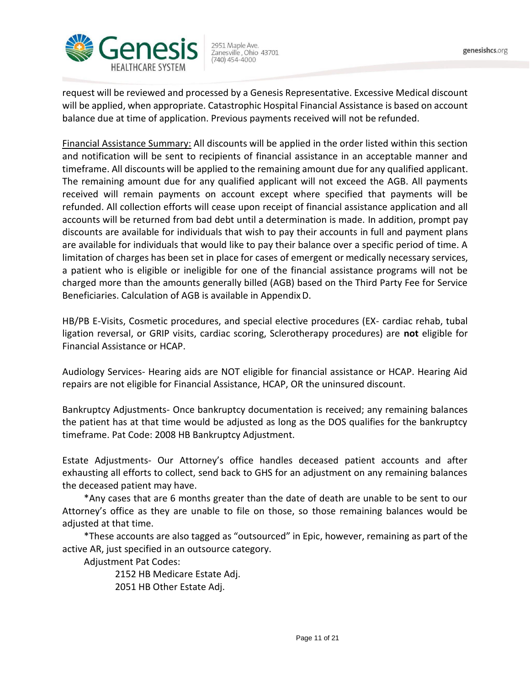

request will be reviewed and processed by a Genesis Representative. Excessive Medical discount will be applied, when appropriate. Catastrophic Hospital Financial Assistance is based on account balance due at time of application. Previous payments received will not be refunded.

Financial Assistance Summary: All discounts will be applied in the order listed within this section and notification will be sent to recipients of financial assistance in an acceptable manner and timeframe. All discounts will be applied to the remaining amount due for any qualified applicant. The remaining amount due for any qualified applicant will not exceed the AGB. All payments received will remain payments on account except where specified that payments will be refunded. All collection efforts will cease upon receipt of financial assistance application and all accounts will be returned from bad debt until a determination is made. In addition, prompt pay discounts are available for individuals that wish to pay their accounts in full and payment plans are available for individuals that would like to pay their balance over a specific period of time. A limitation of charges has been set in place for cases of emergent or medically necessary services, a patient who is eligible or ineligible for one of the financial assistance programs will not be charged more than the amounts generally billed (AGB) based on the Third Party Fee for Service Beneficiaries. Calculation of AGB is available in AppendixD.

HB/PB E-Visits, Cosmetic procedures, and special elective procedures (EX- cardiac rehab, tubal ligation reversal, or GRIP visits, cardiac scoring, Sclerotherapy procedures) are **not** eligible for Financial Assistance or HCAP.

Audiology Services- Hearing aids are NOT eligible for financial assistance or HCAP. Hearing Aid repairs are not eligible for Financial Assistance, HCAP, OR the uninsured discount.

Bankruptcy Adjustments- Once bankruptcy documentation is received; any remaining balances the patient has at that time would be adjusted as long as the DOS qualifies for the bankruptcy timeframe. Pat Code: 2008 HB Bankruptcy Adjustment.

Estate Adjustments- Our Attorney's office handles deceased patient accounts and after exhausting all efforts to collect, send back to GHS for an adjustment on any remaining balances the deceased patient may have.

\*Any cases that are 6 months greater than the date of death are unable to be sent to our Attorney's office as they are unable to file on those, so those remaining balances would be adjusted at that time.

\*These accounts are also tagged as "outsourced" in Epic, however, remaining as part of the active AR, just specified in an outsource category.

Adjustment Pat Codes:

2152 HB Medicare Estate Adj. 2051 HB Other Estate Adj.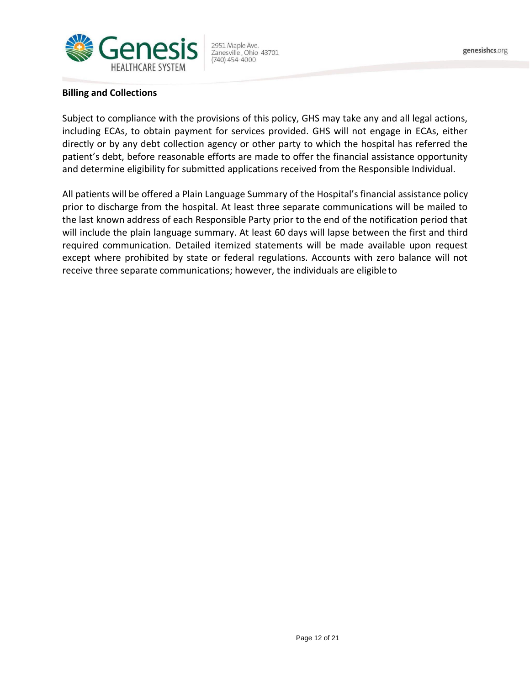

#### **Billing and Collections**

Subject to compliance with the provisions of this policy, GHS may take any and all legal actions, including ECAs, to obtain payment for services provided. GHS will not engage in ECAs, either directly or by any debt collection agency or other party to which the hospital has referred the patient's debt, before reasonable efforts are made to offer the financial assistance opportunity and determine eligibility for submitted applications received from the Responsible Individual.

All patients will be offered a Plain Language Summary of the Hospital's financial assistance policy prior to discharge from the hospital. At least three separate communications will be mailed to the last known address of each Responsible Party prior to the end of the notification period that will include the plain language summary. At least 60 days will lapse between the first and third required communication. Detailed itemized statements will be made available upon request except where prohibited by state or federal regulations. Accounts with zero balance will not receive three separate communications; however, the individuals are eligibleto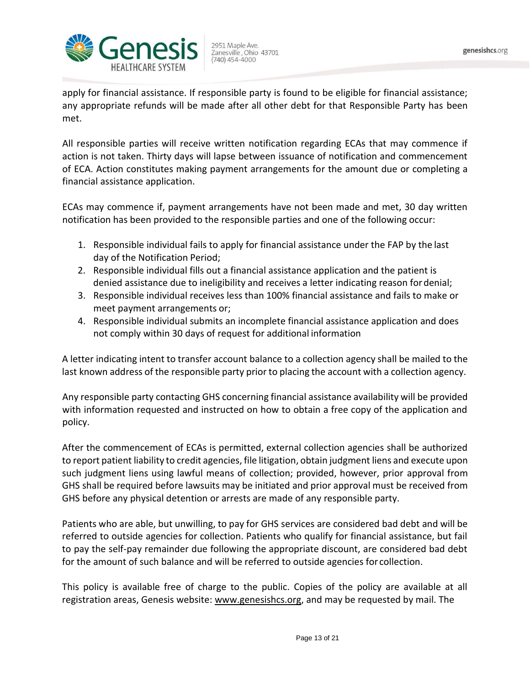

apply for financial assistance. If responsible party is found to be eligible for financial assistance; any appropriate refunds will be made after all other debt for that Responsible Party has been met.

All responsible parties will receive written notification regarding ECAs that may commence if action is not taken. Thirty days will lapse between issuance of notification and commencement of ECA. Action constitutes making payment arrangements for the amount due or completing a financial assistance application.

ECAs may commence if, payment arrangements have not been made and met, 30 day written notification has been provided to the responsible parties and one of the following occur:

- 1. Responsible individual fails to apply for financial assistance under the FAP by the last day of the Notification Period;
- 2. Responsible individual fills out a financial assistance application and the patient is denied assistance due to ineligibility and receives a letter indicating reason fordenial;
- 3. Responsible individual receives less than 100% financial assistance and fails to make or meet payment arrangements or;
- 4. Responsible individual submits an incomplete financial assistance application and does not comply within 30 days of request for additional information

A letter indicating intent to transfer account balance to a collection agency shall be mailed to the last known address of the responsible party prior to placing the account with a collection agency.

Any responsible party contacting GHS concerning financial assistance availability will be provided with information requested and instructed on how to obtain a free copy of the application and policy.

After the commencement of ECAs is permitted, external collection agencies shall be authorized to report patient liability to credit agencies, file litigation, obtain judgment liens and execute upon such judgment liens using lawful means of collection; provided, however, prior approval from GHS shall be required before lawsuits may be initiated and prior approval must be received from GHS before any physical detention or arrests are made of any responsible party.

Patients who are able, but unwilling, to pay for GHS services are considered bad debt and will be referred to outside agencies for collection. Patients who qualify for financial assistance, but fail to pay the self-pay remainder due following the appropriate discount, are considered bad debt for the amount of such balance and will be referred to outside agencies for collection.

This policy is available free of charge to the public. Copies of the policy are available at all registration areas, Genesis website: [www.genesishcs.org, a](http://www.genesishcs.org/)nd may be requested by mail. The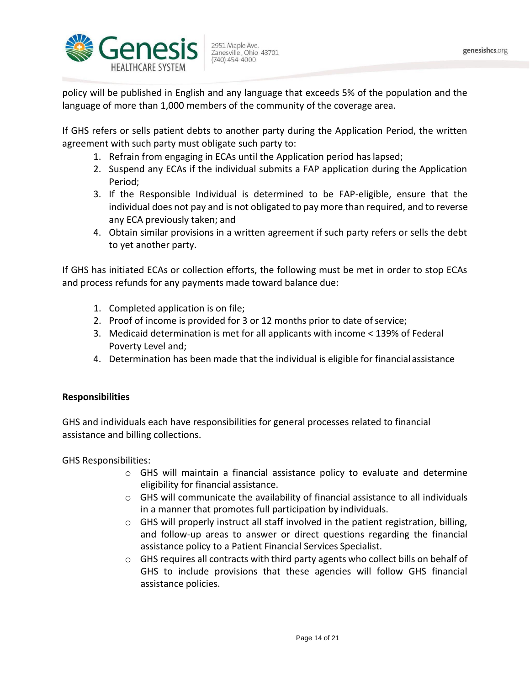

policy will be published in English and any language that exceeds 5% of the population and the language of more than 1,000 members of the community of the coverage area.

If GHS refers or sells patient debts to another party during the Application Period, the written agreement with such party must obligate such party to:

- 1. Refrain from engaging in ECAs until the Application period haslapsed;
- 2. Suspend any ECAs if the individual submits a FAP application during the Application Period;
- 3. If the Responsible Individual is determined to be FAP-eligible, ensure that the individual does not pay and is not obligated to pay more than required, and to reverse any ECA previously taken; and
- 4. Obtain similar provisions in a written agreement if such party refers or sells the debt to yet another party.

If GHS has initiated ECAs or collection efforts, the following must be met in order to stop ECAs and process refunds for any payments made toward balance due:

- 1. Completed application is on file;
- 2. Proof of income is provided for 3 or 12 months prior to date of service;
- 3. Medicaid determination is met for all applicants with income < 139% of Federal Poverty Level and;
- 4. Determination has been made that the individual is eligible for financial assistance

# **Responsibilities**

GHS and individuals each have responsibilities for general processes related to financial assistance and billing collections.

GHS Responsibilities:

- $\circ$  GHS will maintain a financial assistance policy to evaluate and determine eligibility for financial assistance.
- o GHS will communicate the availability of financial assistance to all individuals in a manner that promotes full participation by individuals.
- $\circ$  GHS will properly instruct all staff involved in the patient registration, billing, and follow-up areas to answer or direct questions regarding the financial assistance policy to a Patient Financial Services Specialist.
- $\circ$  GHS requires all contracts with third party agents who collect bills on behalf of GHS to include provisions that these agencies will follow GHS financial assistance policies.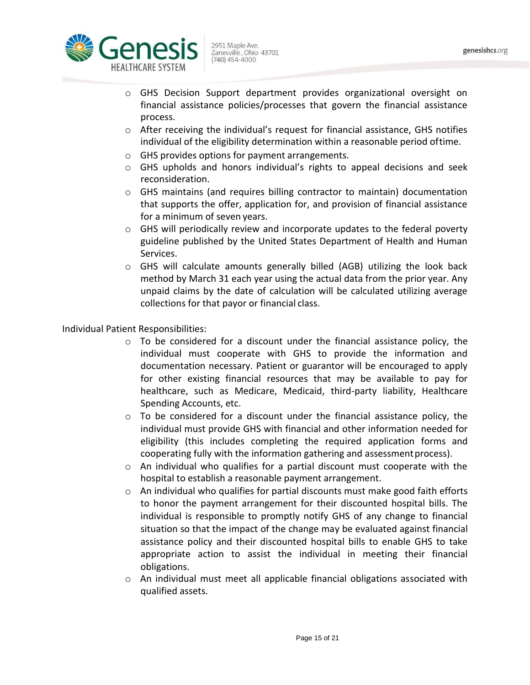

- o GHS Decision Support department provides organizational oversight on financial assistance policies/processes that govern the financial assistance process.
- $\circ$  After receiving the individual's request for financial assistance, GHS notifies individual of the eligibility determination within a reasonable period oftime.
- o GHS provides options for payment arrangements.
- o GHS upholds and honors individual's rights to appeal decisions and seek reconsideration.
- o GHS maintains (and requires billing contractor to maintain) documentation that supports the offer, application for, and provision of financial assistance for a minimum of seven years.
- $\circ$  GHS will periodically review and incorporate updates to the federal poverty guideline published by the United States Department of Health and Human Services.
- o GHS will calculate amounts generally billed (AGB) utilizing the look back method by March 31 each year using the actual data from the prior year. Any unpaid claims by the date of calculation will be calculated utilizing average collections for that payor or financial class.

Individual Patient Responsibilities:

- $\circ$  To be considered for a discount under the financial assistance policy, the individual must cooperate with GHS to provide the information and documentation necessary. Patient or guarantor will be encouraged to apply for other existing financial resources that may be available to pay for healthcare, such as Medicare, Medicaid, third-party liability, Healthcare Spending Accounts, etc.
- $\circ$  To be considered for a discount under the financial assistance policy, the individual must provide GHS with financial and other information needed for eligibility (this includes completing the required application forms and cooperating fully with the information gathering and assessmentprocess).
- $\circ$  An individual who qualifies for a partial discount must cooperate with the hospital to establish a reasonable payment arrangement.
- $\circ$  An individual who qualifies for partial discounts must make good faith efforts to honor the payment arrangement for their discounted hospital bills. The individual is responsible to promptly notify GHS of any change to financial situation so that the impact of the change may be evaluated against financial assistance policy and their discounted hospital bills to enable GHS to take appropriate action to assist the individual in meeting their financial obligations.
- o An individual must meet all applicable financial obligations associated with qualified assets.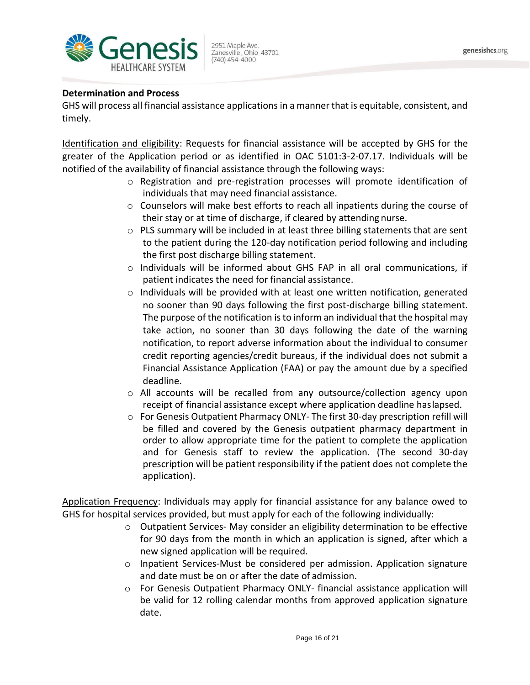

### **Determination and Process**

GHS will process all financial assistance applications in a manner that is equitable, consistent, and timely.

Identification and eligibility: Requests for financial assistance will be accepted by GHS for the greater of the Application period or as identified in OAC 5101:3-2-07.17. Individuals will be notified of the availability of financial assistance through the following ways:

- $\circ$  Registration and pre-registration processes will promote identification of individuals that may need financial assistance.
- $\circ$  Counselors will make best efforts to reach all inpatients during the course of their stay or at time of discharge, if cleared by attending nurse.
- $\circ$  PLS summary will be included in at least three billing statements that are sent to the patient during the 120-day notification period following and including the first post discharge billing statement.
- $\circ$  Individuals will be informed about GHS FAP in all oral communications, if patient indicates the need for financial assistance.
- $\circ$  Individuals will be provided with at least one written notification, generated no sooner than 90 days following the first post-discharge billing statement. The purpose of the notification isto inform an individual that the hospital may take action, no sooner than 30 days following the date of the warning notification, to report adverse information about the individual to consumer credit reporting agencies/credit bureaus, if the individual does not submit a Financial Assistance Application (FAA) or pay the amount due by a specified deadline.
- $\circ$  All accounts will be recalled from any outsource/collection agency upon receipt of financial assistance except where application deadline haslapsed.
- $\circ$  For Genesis Outpatient Pharmacy ONLY- The first 30-day prescription refill will be filled and covered by the Genesis outpatient pharmacy department in order to allow appropriate time for the patient to complete the application and for Genesis staff to review the application. (The second 30-day prescription will be patient responsibility if the patient does not complete the application).

Application Frequency: Individuals may apply for financial assistance for any balance owed to GHS for hospital services provided, but must apply for each of the following individually:

- $\circ$  Outpatient Services-May consider an eligibility determination to be effective for 90 days from the month in which an application is signed, after which a new signed application will be required.
- $\circ$  Inpatient Services-Must be considered per admission. Application signature and date must be on or after the date of admission.
- o For Genesis Outpatient Pharmacy ONLY- financial assistance application will be valid for 12 rolling calendar months from approved application signature date.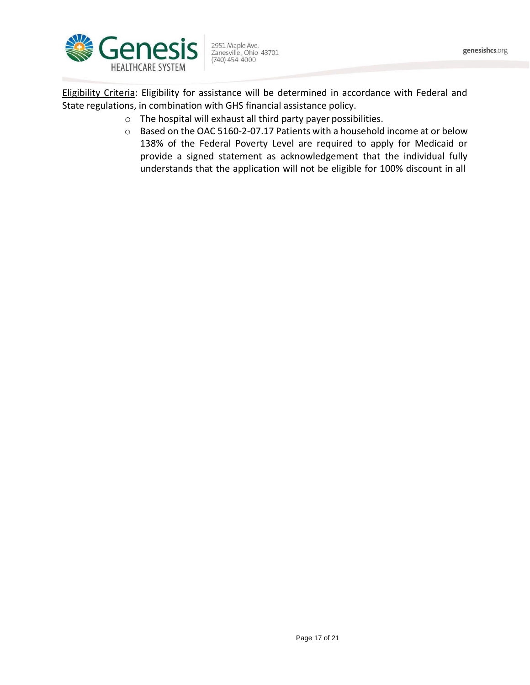2951 Maple Ave. 2951 Maple Ave.<br>Zanesville , Ohio 43701<br>(740) 454-4000

Eligibility Criteria: Eligibility for assistance will be determined in accordance with Federal and State regulations, in combination with GHS financial assistance policy.

- o The hospital will exhaust all third party payer possibilities.
- o Based on the OAC 5160-2-07.17 Patients with a household income at or below 138% of the Federal Poverty Level are required to apply for Medicaid or provide a signed statement as acknowledgement that the individual fully understands that the application will not be eligible for 100% discount in all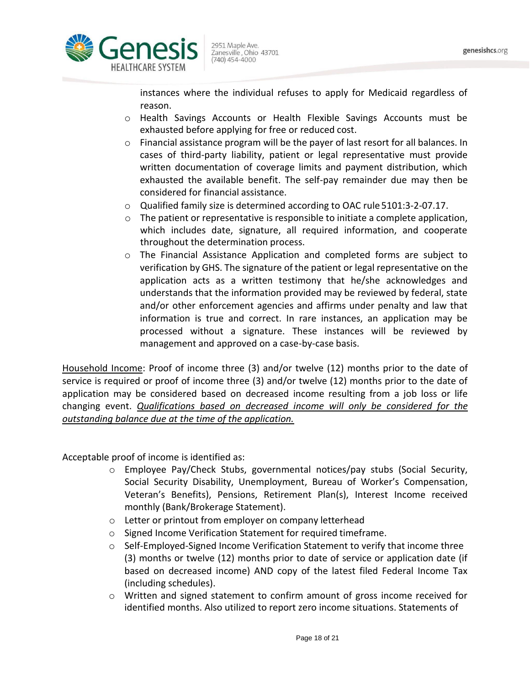

instances where the individual refuses to apply for Medicaid regardless of reason.

- o Health Savings Accounts or Health Flexible Savings Accounts must be exhausted before applying for free or reduced cost.
- o Financial assistance program will be the payer of last resort for all balances. In cases of third-party liability, patient or legal representative must provide written documentation of coverage limits and payment distribution, which exhausted the available benefit. The self-pay remainder due may then be considered for financial assistance.
- o Qualified family size is determined according to OAC rule 5101:3-2-07.17.
- o The patient or representative is responsible to initiate a complete application, which includes date, signature, all required information, and cooperate throughout the determination process.
- o The Financial Assistance Application and completed forms are subject to verification by GHS. The signature of the patient or legal representative on the application acts as a written testimony that he/she acknowledges and understands that the information provided may be reviewed by federal, state and/or other enforcement agencies and affirms under penalty and law that information is true and correct. In rare instances, an application may be processed without a signature. These instances will be reviewed by management and approved on a case-by-case basis.

Household Income: Proof of income three (3) and/or twelve (12) months prior to the date of service is required or proof of income three (3) and/or twelve (12) months prior to the date of application may be considered based on decreased income resulting from a job loss or life changing event. *Qualifications based on decreased income will only be considered for the outstanding balance due at the time of the application.*

Acceptable proof of income is identified as:

- o Employee Pay/Check Stubs, governmental notices/pay stubs (Social Security, Social Security Disability, Unemployment, Bureau of Worker's Compensation, Veteran's Benefits), Pensions, Retirement Plan(s), Interest Income received monthly (Bank/Brokerage Statement).
- o Letter or printout from employer on company letterhead
- o Signed Income Verification Statement for required timeframe.
- o Self-Employed-Signed Income Verification Statement to verify that income three (3) months or twelve (12) months prior to date of service or application date (if based on decreased income) AND copy of the latest filed Federal Income Tax (including schedules).
- o Written and signed statement to confirm amount of gross income received for identified months. Also utilized to report zero income situations. Statements of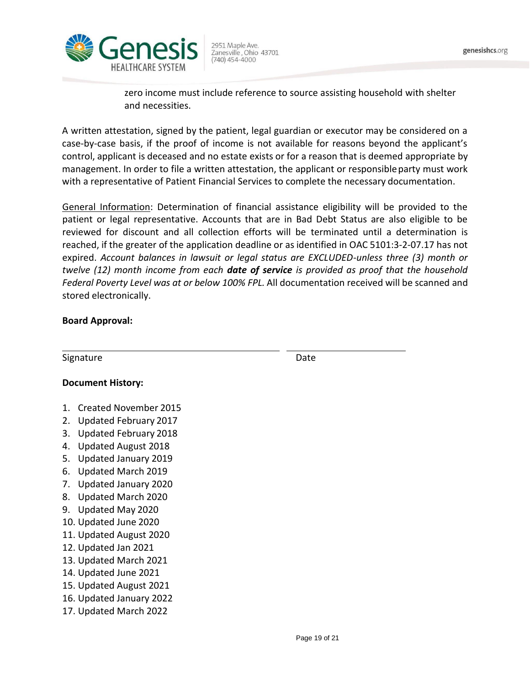

zero income must include reference to source assisting household with shelter and necessities.

A written attestation, signed by the patient, legal guardian or executor may be considered on a case-by-case basis, if the proof of income is not available for reasons beyond the applicant's control, applicant is deceased and no estate exists or for a reason that is deemed appropriate by management. In order to file a written attestation, the applicant or responsible party must work with a representative of Patient Financial Services to complete the necessary documentation.

General Information: Determination of financial assistance eligibility will be provided to the patient or legal representative. Accounts that are in Bad Debt Status are also eligible to be reviewed for discount and all collection efforts will be terminated until a determination is reached, if the greater of the application deadline or as identified in OAC 5101:3-2-07.17 has not expired. *Account balances in lawsuit or legal status are EXCLUDED-unless three (3) month or twelve (12) month income from each date of service is provided as proof that the household Federal Poverty Level was at or below 100% FPL.* All documentation received will be scanned and stored electronically.

# **Board Approval:**

| Signature                                            | Date          |
|------------------------------------------------------|---------------|
|                                                      |               |
| <b>Document History:</b>                             |               |
| <b>Created November 2015</b><br>$\mathbf{1}_{\cdot}$ |               |
| Updated February 2017<br>2.                          |               |
| Updated February 2018<br>3.                          |               |
| Updated August 2018<br>4.                            |               |
| Updated January 2019<br>5.                           |               |
| Updated March 2019<br>6.                             |               |
| Updated January 2020<br>7.                           |               |
| Updated March 2020<br>8.                             |               |
| Updated May 2020<br>9.                               |               |
| 10. Updated June 2020                                |               |
| 11. Updated August 2020                              |               |
| 12. Updated Jan 2021                                 |               |
| 13. Updated March 2021                               |               |
| 14. Updated June 2021                                |               |
| 15. Updated August 2021                              |               |
| 16. Updated January 2022                             |               |
| 17. Updated March 2022                               |               |
|                                                      |               |
|                                                      | Page 19 of 21 |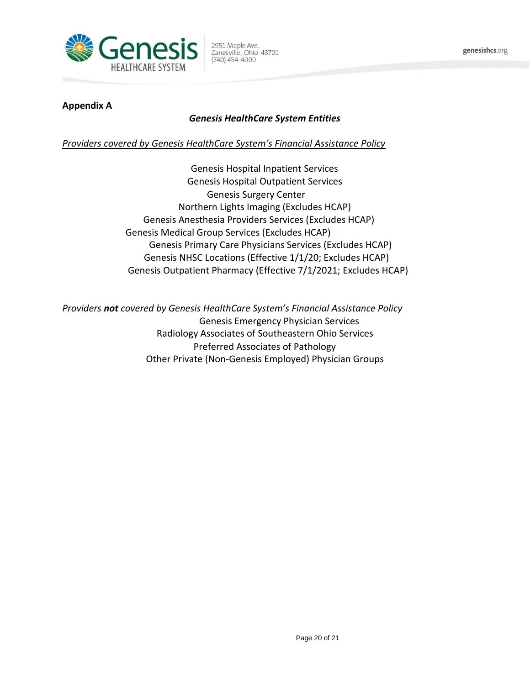

### **Appendix A**

# *Genesis HealthCare System Entities*

### *Providers covered by Genesis HealthCare System's Financial Assistance Policy*

Genesis Hospital Inpatient Services Genesis Hospital Outpatient Services Genesis Surgery Center Northern Lights Imaging (Excludes HCAP) Genesis Anesthesia Providers Services (Excludes HCAP) Genesis Medical Group Services (Excludes HCAP) Genesis Primary Care Physicians Services (Excludes HCAP) Genesis NHSC Locations (Effective 1/1/20; Excludes HCAP) Genesis Outpatient Pharmacy (Effective 7/1/2021; Excludes HCAP)

*Providers not covered by Genesis HealthCare System's Financial Assistance Policy*

Genesis Emergency Physician Services Radiology Associates of Southeastern Ohio Services Preferred Associates of Pathology Other Private (Non-Genesis Employed) Physician Groups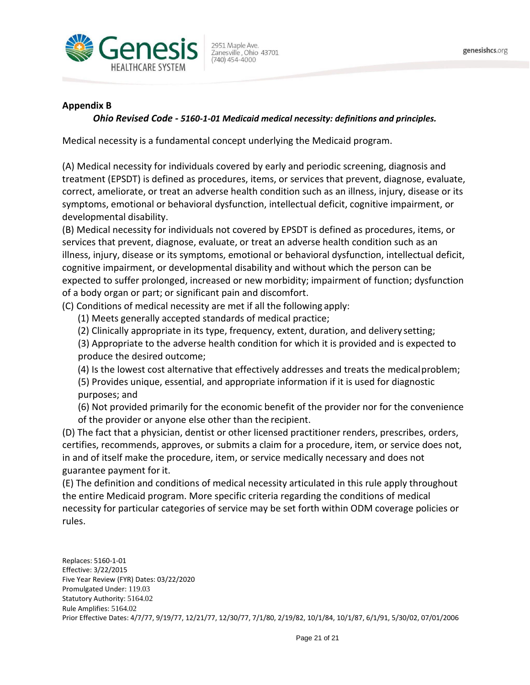

#### **Appendix B**

#### *Ohio Revised Code - 5160-1-01 Medicaid medical necessity: definitions and principles.*

Medical necessity is a fundamental concept underlying the Medicaid program.

(A) Medical necessity for individuals covered by early and periodic screening, diagnosis and treatment (EPSDT) is defined as procedures, items, or services that prevent, diagnose, evaluate, correct, ameliorate, or treat an adverse health condition such as an illness, injury, disease or its symptoms, emotional or behavioral dysfunction, intellectual deficit, cognitive impairment, or developmental disability.

(B) Medical necessity for individuals not covered by EPSDT is defined as procedures, items, or services that prevent, diagnose, evaluate, or treat an adverse health condition such as an illness, injury, disease or its symptoms, emotional or behavioral dysfunction, intellectual deficit, cognitive impairment, or developmental disability and without which the person can be expected to suffer prolonged, increased or new morbidity; impairment of function; dysfunction of a body organ or part; or significant pain and discomfort.

(C) Conditions of medical necessity are met if all the following apply:

- (1) Meets generally accepted standards of medical practice;
- (2) Clinically appropriate in its type, frequency, extent, duration, and delivery setting;

(3) Appropriate to the adverse health condition for which it is provided and is expected to produce the desired outcome;

(4) Is the lowest cost alternative that effectively addresses and treats the medicalproblem;

(5) Provides unique, essential, and appropriate information if it is used for diagnostic purposes; and

(6) Not provided primarily for the economic benefit of the provider nor for the convenience of the provider or anyone else other than the recipient.

(D) The fact that a physician, dentist or other licensed practitioner renders, prescribes, orders, certifies, recommends, approves, or submits a claim for a procedure, item, or service does not, in and of itself make the procedure, item, or service medically necessary and does not guarantee payment for it.

(E) The definition and conditions of medical necessity articulated in this rule apply throughout the entire Medicaid program. More specific criteria regarding the conditions of medical necessity for particular categories of service may be set forth within ODM coverage policies or rules.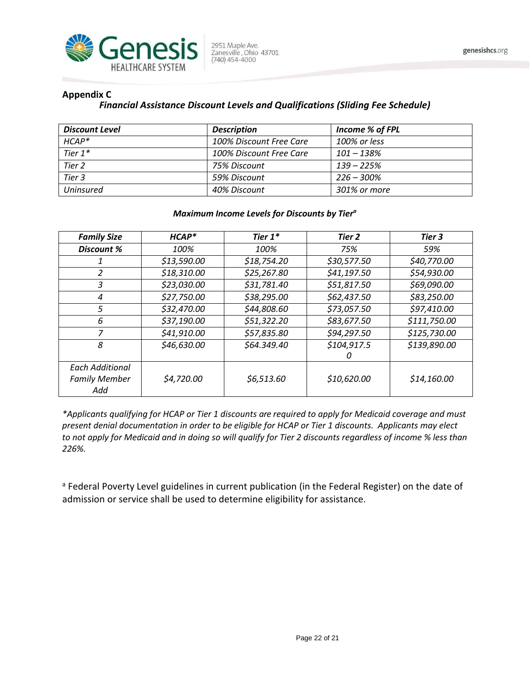

#### **Appendix C**

### *Financial Assistance Discount Levels and Qualifications (Sliding Fee Schedule)*

| <b>Discount Level</b> | <b>Description</b>      | Income % of FPL |
|-----------------------|-------------------------|-----------------|
| $HCAP*$               | 100% Discount Free Care | 100% or less    |
| Tier $1^*$            | 100% Discount Free Care | $101 - 138%$    |
| Tier 2                | 75% Discount            | $139 - 225%$    |
| Tier 3                | 59% Discount            | $226 - 300\%$   |
| Uninsured             | 40% Discount            | 301% or more    |

#### *Maximum Income Levels for Discounts by Tier<sup>a</sup>*

| <b>Family Size</b>     | $HCAP*$     | Tier $1^*$  | Tier 2      | Tier 3       |
|------------------------|-------------|-------------|-------------|--------------|
| <b>Discount %</b>      | 100%        | 100%        | 75%         | 59%          |
|                        | \$13,590.00 | \$18,754.20 | \$30,577.50 | \$40,770.00  |
| 2                      | \$18,310.00 | \$25,267.80 | \$41,197.50 | \$54,930.00  |
| 3                      | \$23,030.00 | \$31,781.40 | \$51,817.50 | \$69,090.00  |
| 4                      | \$27,750.00 | \$38,295.00 | \$62,437.50 | \$83,250.00  |
| 5                      | \$32,470.00 | \$44,808.60 | \$73,057.50 | \$97,410.00  |
| 6                      | \$37,190.00 | \$51,322.20 | \$83,677.50 | \$111,750.00 |
| 7                      | \$41,910.00 | \$57,835.80 | \$94,297.50 | \$125,730.00 |
| 8                      | \$46,630.00 | \$64.349.40 | \$104,917.5 | \$139,890.00 |
|                        |             |             | 0           |              |
| <b>Each Additional</b> |             |             |             |              |
| <b>Family Member</b>   | \$4,720.00  | \$6,513.60  | \$10,620.00 | \$14,160.00  |
| Add                    |             |             |             |              |

*\*Applicants qualifying for HCAP or Tier 1 discounts are required to apply for Medicaid coverage and must present denial documentation in order to be eligible for HCAP or Tier 1 discounts. Applicants may elect to not apply for Medicaid and in doing so will qualify for Tier 2 discounts regardless of income % less than 226%.*

<sup>a</sup> Federal Poverty Level guidelines in current publication (in the Federal Register) on the date of admission or service shall be used to determine eligibility for assistance.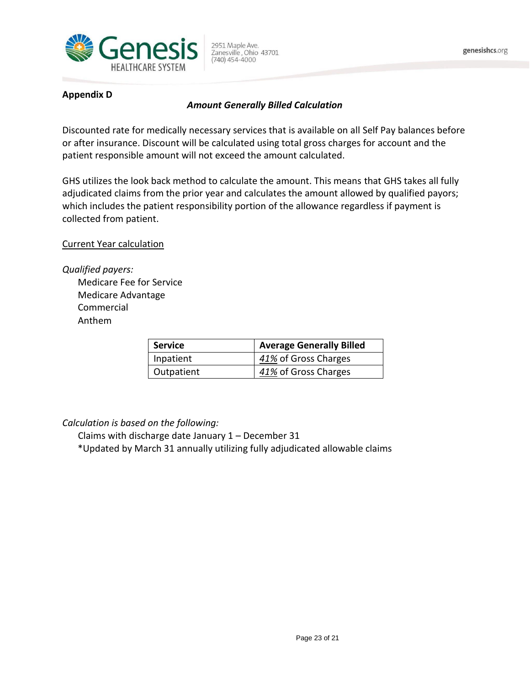

# **Appendix D**

# *Amount Generally Billed Calculation*

Discounted rate for medically necessary services that is available on all Self Pay balances before or after insurance. Discount will be calculated using total gross charges for account and the patient responsible amount will not exceed the amount calculated.

GHS utilizes the look back method to calculate the amount. This means that GHS takes all fully adjudicated claims from the prior year and calculates the amount allowed by qualified payors; which includes the patient responsibility portion of the allowance regardless if payment is collected from patient.

Current Year calculation

*Qualified payers:* Medicare Fee for Service Medicare Advantage Commercial Anthem

| <b>Service</b> | <b>Average Generally Billed</b> |
|----------------|---------------------------------|
| Inpatient      | 41% of Gross Charges            |
| Outpatient     | 41% of Gross Charges            |

# *Calculation is based on the following:*

Claims with discharge date January 1 – December 31

\*Updated by March 31 annually utilizing fully adjudicated allowable claims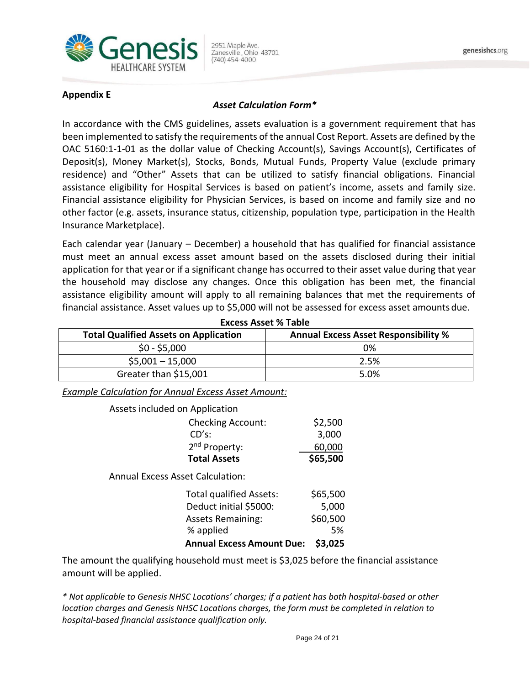

#### *Asset Calculation Form\**

In accordance with the CMS guidelines, assets evaluation is a government requirement that has been implemented to satisfy the requirements of the annual Cost Report. Assets are defined by the OAC 5160:1-1-01 as the dollar value of Checking Account(s), Savings Account(s), Certificates of Deposit(s), Money Market(s), Stocks, Bonds, Mutual Funds, Property Value (exclude primary residence) and "Other" Assets that can be utilized to satisfy financial obligations. Financial assistance eligibility for Hospital Services is based on patient's income, assets and family size. Financial assistance eligibility for Physician Services, is based on income and family size and no other factor (e.g. assets, insurance status, citizenship, population type, participation in the Health Insurance Marketplace).

Each calendar year (January – December) a household that has qualified for financial assistance must meet an annual excess asset amount based on the assets disclosed during their initial application for that year or if a significant change has occurred to their asset value during that year the household may disclose any changes. Once this obligation has been met, the financial assistance eligibility amount will apply to all remaining balances that met the requirements of financial assistance. Asset values up to \$5,000 will not be assessed for excess asset amountsdue.

| <b>Total Qualified Assets on Application</b> | <b>Annual Excess Asset Responsibility %</b> |
|----------------------------------------------|---------------------------------------------|
| $$0 - $5,000$                                | 0%                                          |
| $$5,001 - 15,000$                            | 2.5%                                        |
| Greater than \$15,001                        | 5.0%                                        |

**Excess Asset % Table**

*Example Calculation for Annual Excess Asset Amount:*

| <b>Total Assets</b>            | \$65,500 |
|--------------------------------|----------|
| 2 <sup>nd</sup> Property:      | 60,000   |
| CD's:                          | 3,000    |
| <b>Checking Account:</b>       | \$2,500  |
| Assets included on Application |          |

Annual Excess Asset Calculation:

| Annual Excess Amount Due: \$3,025 |          |
|-----------------------------------|----------|
| % applied                         | 5%       |
| <b>Assets Remaining:</b>          | \$60,500 |
| Deduct initial \$5000:            | 5,000    |
| <b>Total qualified Assets:</b>    | \$65,500 |

The amount the qualifying household must meet is \$3,025 before the financial assistance amount will be applied.

*\* Not applicable to Genesis NHSC Locations' charges; if a patient has both hospital-based or other location charges and Genesis NHSC Locations charges, the form must be completed in relation to hospital-based financial assistance qualification only.*